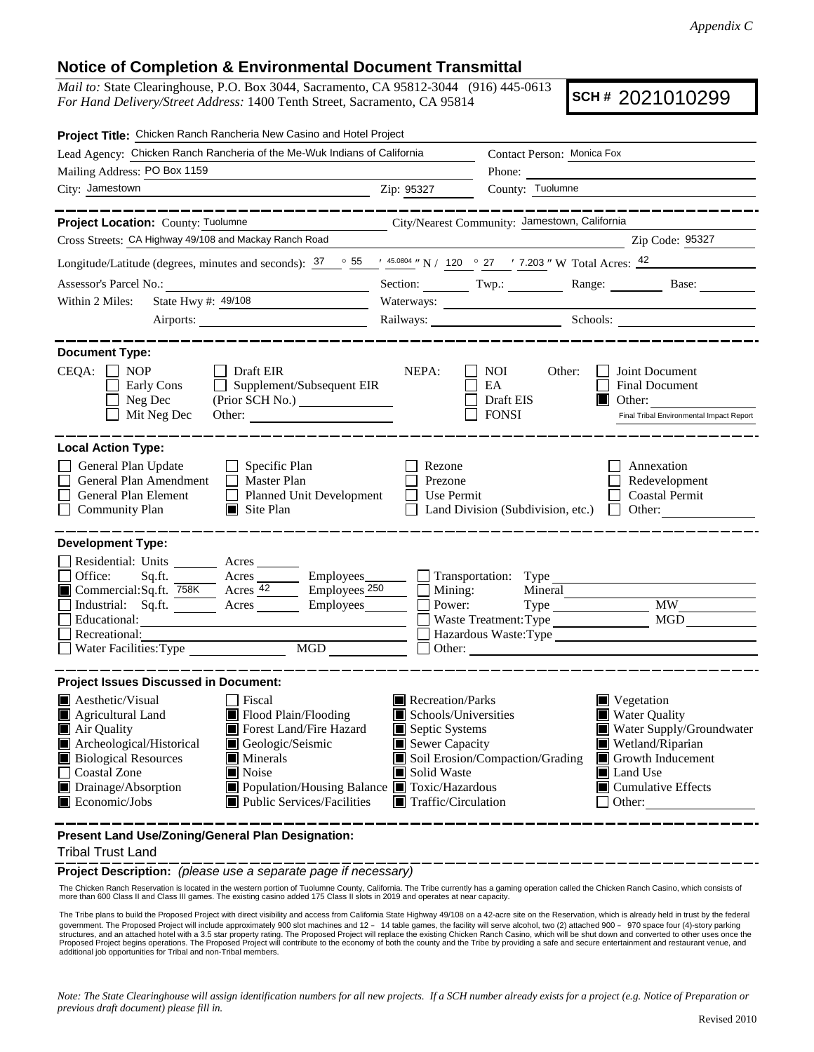## **Notice of Completion & Environmental Document Transmittal**

*Mail to:* State Clearinghouse, P.O. Box 3044, Sacramento, CA 95812-3044 (916) 445-0613 *For Hand Delivery/Street Address:* 1400 Tenth Street, Sacramento, CA 95814

**SCH #** 2021010299

| Project Title: Chicken Ranch Rancheria New Casino and Hotel Project                                                                                                                                                                                                                                                                                                                                                         |                                                                                                                                                                                                    |                                                                                                                                                                                                                                                                                                                                                                                                              |                                                                                                                                                                           |  |
|-----------------------------------------------------------------------------------------------------------------------------------------------------------------------------------------------------------------------------------------------------------------------------------------------------------------------------------------------------------------------------------------------------------------------------|----------------------------------------------------------------------------------------------------------------------------------------------------------------------------------------------------|--------------------------------------------------------------------------------------------------------------------------------------------------------------------------------------------------------------------------------------------------------------------------------------------------------------------------------------------------------------------------------------------------------------|---------------------------------------------------------------------------------------------------------------------------------------------------------------------------|--|
| Lead Agency: Chicken Ranch Rancheria of the Me-Wuk Indians of California                                                                                                                                                                                                                                                                                                                                                    | Contact Person: Monica Fox                                                                                                                                                                         |                                                                                                                                                                                                                                                                                                                                                                                                              |                                                                                                                                                                           |  |
| Mailing Address: PO Box 1159                                                                                                                                                                                                                                                                                                                                                                                                |                                                                                                                                                                                                    | Phone: $\frac{1}{\sqrt{1-\frac{1}{2}}\sqrt{1-\frac{1}{2}}\sqrt{1-\frac{1}{2}}\sqrt{1-\frac{1}{2}}\sqrt{1-\frac{1}{2}}\sqrt{1-\frac{1}{2}}\sqrt{1-\frac{1}{2}}\sqrt{1-\frac{1}{2}}\sqrt{1-\frac{1}{2}}\sqrt{1-\frac{1}{2}}\sqrt{1-\frac{1}{2}}\sqrt{1-\frac{1}{2}}\sqrt{1-\frac{1}{2}}\sqrt{1-\frac{1}{2}}\sqrt{1-\frac{1}{2}}\sqrt{1-\frac{1}{2}}\sqrt{1-\frac{1}{2}}\sqrt{1-\frac{1}{2}}\sqrt{1-\frac{1}{2$ |                                                                                                                                                                           |  |
| City: Jamestown<br><u> 1989 - Johann Barbara, martxa eta politikar</u>                                                                                                                                                                                                                                                                                                                                                      | Zip: 95327                                                                                                                                                                                         | County: Tuolumne                                                                                                                                                                                                                                                                                                                                                                                             |                                                                                                                                                                           |  |
| ____________                                                                                                                                                                                                                                                                                                                                                                                                                |                                                                                                                                                                                                    |                                                                                                                                                                                                                                                                                                                                                                                                              | ___________                                                                                                                                                               |  |
| City/Nearest Community: Jamestown, California<br>Project Location: County: Tuolumne                                                                                                                                                                                                                                                                                                                                         |                                                                                                                                                                                                    |                                                                                                                                                                                                                                                                                                                                                                                                              |                                                                                                                                                                           |  |
| Cross Streets: CA Highway 49/108 and Mackay Ranch Road                                                                                                                                                                                                                                                                                                                                                                      |                                                                                                                                                                                                    |                                                                                                                                                                                                                                                                                                                                                                                                              | Zip Code: 95327                                                                                                                                                           |  |
| Longitude/Latitude (degrees, minutes and seconds): $37 \degree$ $55 \degree$ $\frac{45.0804}{N}$ N / 120 $\degree$ 27 $\degree$ 7.203 " W Total Acres: $42 \degree$                                                                                                                                                                                                                                                         |                                                                                                                                                                                                    |                                                                                                                                                                                                                                                                                                                                                                                                              |                                                                                                                                                                           |  |
| Assessor's Parcel No.:<br><u> 1989 - Johann Barbara, martx</u>                                                                                                                                                                                                                                                                                                                                                              |                                                                                                                                                                                                    |                                                                                                                                                                                                                                                                                                                                                                                                              | Section: Twp.: Twp.: Range: Base:                                                                                                                                         |  |
| State Hwy #: 49/108<br>Within 2 Miles:                                                                                                                                                                                                                                                                                                                                                                                      | Waterways:                                                                                                                                                                                         |                                                                                                                                                                                                                                                                                                                                                                                                              |                                                                                                                                                                           |  |
| Airports:                                                                                                                                                                                                                                                                                                                                                                                                                   | Railways: Schools: Schools:                                                                                                                                                                        |                                                                                                                                                                                                                                                                                                                                                                                                              |                                                                                                                                                                           |  |
| <b>Document Type:</b>                                                                                                                                                                                                                                                                                                                                                                                                       |                                                                                                                                                                                                    |                                                                                                                                                                                                                                                                                                                                                                                                              |                                                                                                                                                                           |  |
| $CEQA: \Box NOP$<br>Draft EIR<br>$\Box$ Supplement/Subsequent EIR<br>Early Cons<br>Neg Dec<br>(Prior SCH No.) ________________<br>Mit Neg Dec                                                                                                                                                                                                                                                                               | NEPA:                                                                                                                                                                                              | NOI.<br>Other:<br>EA<br>Draft EIS<br><b>FONSI</b>                                                                                                                                                                                                                                                                                                                                                            | Joint Document<br>Final Document<br>$\Box$ Other:<br>Final Tribal Environmental Impact Report                                                                             |  |
| <b>Local Action Type:</b><br>General Plan Update<br>$\Box$ Specific Plan<br>General Plan Amendment<br>$\Box$ Master Plan<br>General Plan Element<br>Planned Unit Development<br><b>Community Plan</b><br>$\Box$ Site Plan                                                                                                                                                                                                   | Rezone<br>Prezone<br>Use Permit                                                                                                                                                                    | Land Division (Subdivision, etc.)                                                                                                                                                                                                                                                                                                                                                                            | Annexation<br>Redevelopment<br><b>Coastal Permit</b><br>Other:<br><b>TELEVISION</b>                                                                                       |  |
| <b>Development Type:</b><br>Residential: Units ________ Acres _______<br>□ Office: Sq.ft. $\frac{\sqrt{358K}}{\sqrt{358K}}$ Acres $\frac{\sqrt{42}}{42}$ Employees $\frac{250}{250}$<br>Industrial: Sq.ft.<br>Acres Employees<br>Educational:<br>Recreational:<br>$\overline{\text{MGD}}$<br>Water Facilities: Type                                                                                                         | $\Box$ Mining:<br>Power:                                                                                                                                                                           | Mineral<br>$Type \_\_$<br>Waste Treatment: Type<br>Other:                                                                                                                                                                                                                                                                                                                                                    | <b>MW</b><br><b>MGD</b>                                                                                                                                                   |  |
| <b>Project Issues Discussed in Document:</b>                                                                                                                                                                                                                                                                                                                                                                                |                                                                                                                                                                                                    |                                                                                                                                                                                                                                                                                                                                                                                                              |                                                                                                                                                                           |  |
| $\blacksquare$ Aesthetic/Visual<br>  Fiscal<br>Flood Plain/Flooding<br>Agricultural Land<br>$\blacksquare$ Air Quality<br>Forest Land/Fire Hazard<br>Archeological/Historical<br>Geologic/Seismic<br><b>Biological Resources</b><br>$\blacksquare$ Minerals<br>Coastal Zone<br>Noise<br>Drainage/Absorption<br>■ Population/Housing Balance ■ Toxic/Hazardous<br>Economic/Jobs<br>$\blacksquare$ Public Services/Facilities | $\blacksquare$ Recreation/Parks<br>$\blacksquare$ Schools/Universities<br>Septic Systems<br>Sewer Capacity<br>Soil Erosion/Compaction/Grading<br>Solid Waste<br>$\blacksquare$ Traffic/Circulation |                                                                                                                                                                                                                                                                                                                                                                                                              | Vegetation<br><b>Water Quality</b><br>Water Supply/Groundwater<br>Wetland/Riparian<br>Growth Inducement<br>Land Use<br>$\blacksquare$ Cumulative Effects<br>$\Box$ Other: |  |

**Present Land Use/Zoning/General Plan Designation:**

## Tribal Trust Land

**Project Description:** *(please use a separate page if necessary)*

The Chicken Ranch Reservation is located in the western portion of Tuolumne County, California. The Tribe currently has a gaming operation called the Chicken Ranch Casino, which consists of more than 600 Class II and Class III games. The existing casino added 175 Class II slots in 2019 and operates at near capacity.

The Tribe plans to build the Proposed Project with direct visibility and access from California State Highway 49/108 on a 42-acre site on the Reservation, which is already held in trust by the federal government. The Proposed Project will include approximately 900 slot machines and 12 – 14 table games, the facility will serve alcohol, two (2) attached 900 – 970 space four (4)-story parking<br>structures, and an attached ho

*Note: The State Clearinghouse will assign identification numbers for all new projects. If a SCH number already exists for a project (e.g. Notice of Preparation or previous draft document) please fill in.*